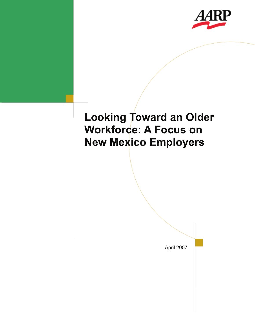

# **Looking Toward an Older Workforce: A Focus on New Mexico Employers**

April 2007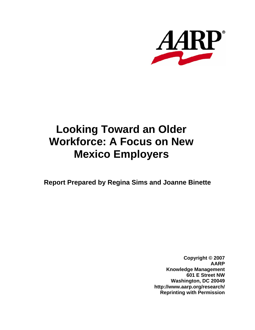

## **Looking Toward an Older Workforce: A Focus on New Mexico Employers**

**Report Prepared by Regina Sims and Joanne Binette**

**Copyright © 2007 AARP Knowledge Management 601 E Street NW Washington, DC 20049 http://www.aarp.org/research/ Reprinting with Permission**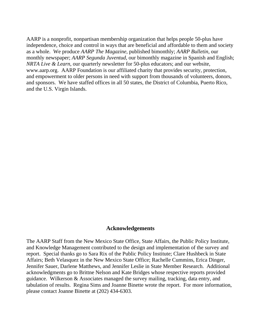AARP is a nonprofit, nonpartisan membership organization that helps people 50-plus have independence, choice and control in ways that are beneficial and affordable to them and society as a whole. We produce *AARP The Magazine*, published bimonthly; *AARP Bulletin*, our monthly newspaper; *AARP Segunda Juventud*, our bimonthly magazine in Spanish and English; *NRTA Live & Learn*, our quarterly newsletter for 50-plus educators; and our website, www.aarp.org. AARP Foundation is our affiliated charity that provides security, protection, and empowerment to older persons in need with support from thousands of volunteers, donors, and sponsors. We have staffed offices in all 50 states, the District of Columbia, Puerto Rico, and the U.S. Virgin Islands.

#### **Acknowledgements**

The AARP Staff from the New Mexico State Office, State Affairs, the Public Policy Institute, and Knowledge Management contributed to the design and implementation of the survey and report. Special thanks go to Sara Rix of the Public Policy Institute; Clare Hushbeck in State Affairs; Beth Velasquez in the New Mexico State Office; Rachelle Cummins, Erica Dinger, Jennifer Sauer, Darlene Matthews, and Jennifer Leslie in State Member Research. Additional acknowledgments go to Brittne Nelson and Kate Bridges whose respective reports provided guidance. Wilkerson & Associates managed the survey mailing, tracking, data entry, and tabulation of results. Regina Sims and Joanne Binette wrote the report. For more information, please contact Joanne Binette at (202) 434-6303.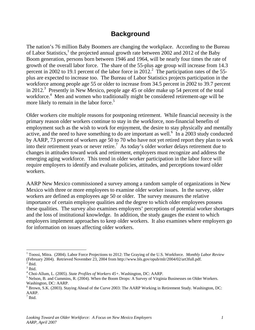### **Background**

The nation's 76 million Baby Boomers are changing the workplace. According to the Bureau of Labor Statistics,<sup>1</sup> the projected annual growth rate between 2002 and 2012 of the Baby Boom generation, persons born between 1946 and 1964, will be nearly four times the rate of growth of the overall labor force. The share of the 55-plus age group will increase from 14.3 percent in 2002 to 19.1 percent of the labor force in  $2012$ .<sup>2</sup> The participation rates of the 55plus are expected to increase too. The Bureau of Labor Statistics projects participation in the workforce among people age 55 or older to increase from 34.5 percent in 2002 to 39.7 percent in 2012.<sup>3</sup> Presently in New Mexico, people age 45 or older make up 54 percent of the total workforce.<sup>4</sup> Men and women who traditionally might be considered retirement-age will be more likely to remain in the labor force.<sup>5</sup>

Older workers cite multiple reasons for postponing retirement. While financial necessity is the primary reason older workers continue to stay in the workforce, non-financial benefits of employment such as the wish to work for enjoyment, the desire to stay physically and mentally active, and the need to have something to do are important as well. $\frac{6}{10}$  In a 2003 study conducted by AARP, 73 percent of workers age 50 to 70 who have not yet retired report they plan to work into their retirement years or never retire.<sup>7</sup> As today's older worker delays retirement due to changes in attitudes toward work and retirement, employers must recognize and address the emerging aging workforce. This trend in older worker participation in the labor force will require employers to identify and evaluate policies, attitudes, and perceptions toward older workers.

AARP New Mexico commissioned a survey among a random sample of organizations in New Mexico with three or more employees to examine older worker issues. In the survey, older workers are defined as employees age 50 or older. The survey measures the relative importance of certain employee qualities and the degree to which older employees possess these qualities. The survey also examines employers' perceptions of potential worker shortages and the loss of institutional knowledge. In addition, the study gauges the extent to which employers implement approaches to keep older workers. It also examines where employers go for information on issues affecting older workers.

1

<sup>&</sup>lt;sup>1</sup> Toossi, Mitra. (2004). Labor Force Projections to 2012: The Graying of the U.S. Workforce. *Monthly Labor Review* (February 2004). Retrieved November 23, 2004 from http://www.bls.gov/opub/mlr/2004/02/art3full.pdf.

 $<sup>2</sup>$  Ibid.</sup>  $3$  Ibid.

<sup>&</sup>lt;sup>4</sup> Choi-Allum, L. (2005). *State Profiles of Workers 45*+. Washington, DC: AARP.<br><sup>5</sup> Nalson, B. and Cummins, B. (2004). When the Boom Drops: A Survey of Virginia

 $<sup>5</sup>$  Nelson, B. and Cummins, R. (2004). When the Boom Drops: A Survey of Virginia Businesses on Older Workers.</sup> Washington, DC: AARP.

<sup>&</sup>lt;sup>6</sup> Brown, S.K. (2003). Staying Ahead of the Curve 2003: The AARP Working in Retirement Study. Washington, DC: AARP.<br><sup>7</sup> Ibid.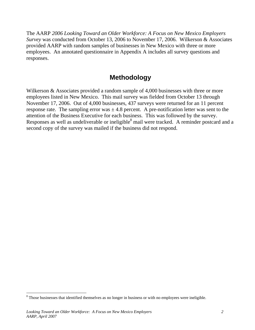The AARP *2006 Looking Toward an Older Workforce: A Focus on New Mexico Employers Survey* was conducted from October 13, 2006 to November 17, 2006. Wilkerson & Associates provided AARP with random samples of businesses in New Mexico with three or more employees. An annotated questionnaire in Appendix A includes all survey questions and responses.

### **Methodology**

Wilkerson & Associates provided a random sample of 4,000 businesses with three or more employees listed in New Mexico. This mail survey was fielded from October 13 through November 17, 2006. Out of 4,000 businesses, 437 surveys were returned for an 11 percent response rate. The sampling error was  $\pm$  4.8 percent. A pre-notification letter was sent to the attention of the Business Executive for each business. This was followed by the survey. Responses as well as undeliverable or ineligible<sup>8</sup> mail were tracked. A reminder postcard and a second copy of the survey was mailed if the business did not respond.

<u>.</u>

<sup>&</sup>lt;sup>8</sup> Those businesses that identified themselves as no longer in business or with no employees were ineligible.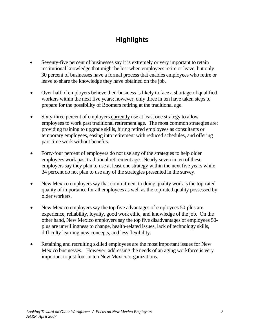### **Highlights**

- Seventy-five percent of businesses say it is extremely or very important to retain institutional knowledge that might be lost when employees retire or leave, but only 30 percent of businesses have a formal process that enables employees who retire or leave to share the knowledge they have obtained on the job.
- Over half of employers believe their business is likely to face a shortage of qualified workers within the next five years; however, only three in ten have taken steps to prepare for the possibility of Boomers retiring at the traditional age.
- Sixty-three percent of employers currently use at least one strategy to allow employees to work past traditional retirement age. The most common strategies are: providing training to upgrade skills, hiring retired employees as consultants or temporary employees, easing into retirement with reduced schedules, and offering part-time work without benefits.
- Forty-four percent of employers do not use any of the strategies to help older employees work past traditional retirement age. Nearly seven in ten of these employers say they plan to use at least one strategy within the next five years while 34 percent do not plan to use any of the strategies presented in the survey.
- New Mexico employers say that commitment to doing quality work is the top-rated quality of importance for all employees as well as the top-rated quality possessed by older workers.
- New Mexico employers say the top five advantages of employees 50-plus are experience, reliability, loyalty, good work ethic, and knowledge of the job. On the other hand, New Mexico employers say the top five disadvantages of employees 50 plus are unwillingness to change, health-related issues, lack of technology skills, difficulty learning new concepts, and less flexibility.
- Retaining and recruiting skilled employees are the most important issues for New Mexico businesses. However, addressing the needs of an aging workforce is very important to just four in ten New Mexico organizations.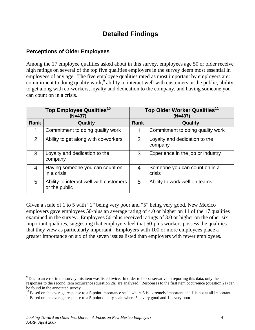### **Detailed Findings**

### **Perceptions of Older Employees**

Among the 17 employee qualities asked about in this survey, employees age 50 or older receive high ratings on several of the top five qualities employers in the survey deem most essential in employees of any age. The five employee qualities rated as most important by employers are: commitment to doing quality work, $\hat{9}$  ability to interact well with customers or the public, ability to get along with co-workers, loyalty and dedication to the company, and having someone you can count on in a crisis.

| Top Employee Qualities <sup>10</sup><br>$(N=437)$ |                                                          |             | Top Older Worker Qualities <sup>11</sup><br>$(N=437)$ |  |  |
|---------------------------------------------------|----------------------------------------------------------|-------------|-------------------------------------------------------|--|--|
| <b>Rank</b>                                       | Quality                                                  | <b>Rank</b> | Quality                                               |  |  |
| 1                                                 | Commitment to doing quality work                         |             | Commitment to doing quality work                      |  |  |
| $\mathcal{P}$                                     | Ability to get along with co-workers                     | 2           | Loyalty and dedication to the<br>company              |  |  |
| 3                                                 | Loyalty and dedication to the<br>company                 | 3           | Experience in the job or industry                     |  |  |
| 4                                                 | Having someone you can count on<br>in a crisis           | 4           | Someone you can count on in a<br>crisis               |  |  |
| 5                                                 | Ability to interact well with customers<br>or the public | 5           | Ability to work well on teams                         |  |  |

Given a scale of 1 to 5 with "1" being very poor and "5" being very good, New Mexico employers gave employees 50-plus an average rating of 4.0 or higher on 11 of the 17 qualities examined in the survey. Employees 50-plus received ratings of 3.0 or higher on the other six important qualities, suggesting that employers feel that 50-plus workers possess the qualities that they view as particularly important. Employers with 100 or more employees place a greater importance on six of the seven issues listed than employers with fewer employees.

 $\overline{a}$ 

 $9^9$  Due to an error in the survey this item was listed twice. In order to be conservative in reporting this data, only the responses to the second item occurrence (question 2h) are analyzed. Responses to the first item occurrence (question 2a) can be found in the annotated survey.

<sup>&</sup>lt;sup>10</sup> Based on the average response to a 5-point importance scale where 5 is extremely important and 1 is not at all important.<br><sup>11</sup> Based on the average response to a 5-point quality scale where 5 is very good and 1 is ve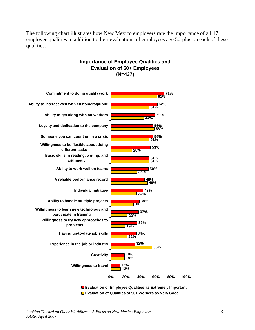The following chart illustrates how New Mexico employers rate the importance of all 17 employee qualities in addition to their evaluations of employees age 50-plus on each of these qualities.



### **Importance of Employee Qualities and Evaluation of 50+ Employees (N=437)**

**Evaluation of Employee Qualities as Extremely Important Evaluation of Qualities of 50+ Workers as Very Good**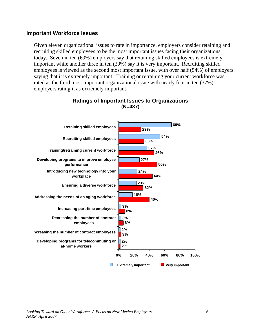### **Important Workforce Issues**

Given eleven organizational issues to rate in importance, employers consider retaining and recruiting skilled employees to be the most important issues facing their organizations today. Seven in ten (69%) employers say that retaining skilled employees is extremely important while another three in ten (29%) say it is very important. Recruiting skilled employees is viewed as the second most important issue, with over half (54%) of employers saying that it is extremely important. Training or retraining your current workforce was rated as the third most important organizational issue with nearly four in ten (37%) employers rating it as extremely important.



### **Ratings of Important Issues to Organizations (N=437)**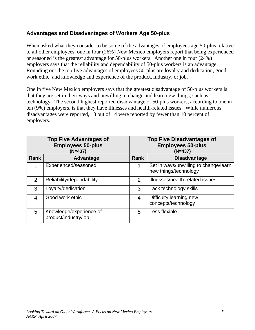### **Advantages and Disadvantages of Workers Age 50-plus**

When asked what they consider to be some of the advantages of employees age 50-plus relative to all other employees, one in four (26%) New Mexico employers report that being experienced or seasoned is the greatest advantage for 50-plus workers. Another one in four (24%) employers says that the reliability and dependability of 50-plus workers is an advantage. Rounding out the top five advantages of employees 50-plus are loyalty and dedication, good work ethic, and knowledge and experience of the product, industry, or job.

One in five New Mexico employers says that the greatest disadvantage of 50-plus workers is that they are set in their ways and unwilling to change and learn new things, such as technology. The second highest reported disadvantage of 50-plus workers, according to one in ten (9%) employers, is that they have illnesses and health-related issues. While numerous disadvantages were reported, 13 out of 14 were reported by fewer than 10 percent of employers.

|               | <b>Top Five Advantages of</b><br><b>Employees 50-plus</b><br>$(N=437)$ | <b>Top Five Disadvantages of</b><br><b>Employees 50-plus</b><br>$(N=437)$ |                                                                |  |
|---------------|------------------------------------------------------------------------|---------------------------------------------------------------------------|----------------------------------------------------------------|--|
| <b>Rank</b>   | Advantage                                                              | <b>Rank</b>                                                               | <b>Disadvantage</b>                                            |  |
|               | Experienced/seasoned                                                   | 1                                                                         | Set in ways/unwilling to change/learn<br>new things/technology |  |
| $\mathcal{P}$ | Reliability/dependability                                              | 2                                                                         | Illnesses/health-related issues                                |  |
| 3             | Loyalty/dedication                                                     | 3                                                                         | Lack technology skills                                         |  |
| 4             | Good work ethic                                                        | 4                                                                         | Difficulty learning new<br>concepts/technology                 |  |
| 5             | Knowledge/experience of<br>product/industry/job                        | 5                                                                         | Less flexible                                                  |  |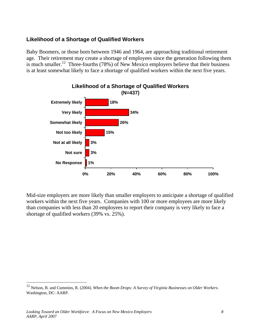### **Likelihood of a Shortage of Qualified Workers**

Baby Boomers, or those born between 1946 and 1964, are approaching traditional retirement age. Their retirement may create a shortage of employees since the generation following them is much smaller.<sup>12</sup> Three-fourths (78%) of New Mexico employers believe that their business is at least somewhat likely to face a shortage of qualified workers within the next five years.



Mid-size employers are more likely than smaller employers to anticipate a shortage of qualified workers within the next five years. Companies with 100 or more employees are more likely than companies with less than 20 employees to report their company is very likely to face a shortage of qualified workers (39% vs. 25%).

1

<sup>12</sup> Nelson, B. and Cummins, R. (2004). *When the Boom Drops: A Survey of Virginia Businesses on Older Workers*. Washington, DC: AARP.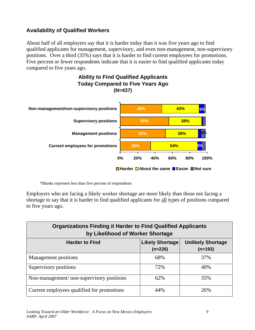### **Availability of Qualified Workers**

About half of all employers say that it is harder today than it was five years ago to find qualified applicants for management, supervisory, and even non-management, non-supervisory positions. Over a third (35%) says that it is harder to find current employees for promotions. Five percent or fewer respondents indicate that it is easier to find qualified applicants today compared to five years ago.



\*Blanks represent less than five percent of respondents

Employers who are facing a likely worker shortage are more likely than those not facing a shortage to say that it is harder to find qualified applicants for all types of positions compared to five years ago.

| <b>Organizations Finding it Harder to Find Qualified Applicants</b><br>by Likelihood of Worker Shortage |     |     |  |  |  |  |  |
|---------------------------------------------------------------------------------------------------------|-----|-----|--|--|--|--|--|
| <b>Likely Shortage</b><br><b>Unlikely Shortage</b><br><b>Harder to Find</b><br>$(n=226)$<br>$(n=193)$   |     |     |  |  |  |  |  |
| <b>Management</b> positions                                                                             | 68% | 37% |  |  |  |  |  |
| Supervisory positions                                                                                   | 72% | 40% |  |  |  |  |  |
| Non-management/non-supervisory positions                                                                | 62% | 35% |  |  |  |  |  |
| Current employees qualified for promotions                                                              | 44% | 26% |  |  |  |  |  |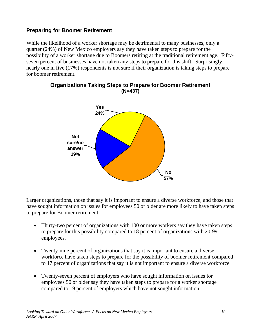### **Preparing for Boomer Retirement**

While the likelihood of a worker shortage may be detrimental to many businesses, only a quarter (24%) of New Mexico employers say they have taken steps to prepare for the possibility of a worker shortage due to Boomers retiring at the traditional retirement age. Fiftyseven percent of businesses have not taken any steps to prepare for this shift. Surprisingly, nearly one in five (17%) respondents is not sure if their organization is taking steps to prepare for boomer retirement.



### **Organizations Taking Steps to Prepare for Boomer Retirement (N=437)**

Larger organizations, those that say it is important to ensure a diverse workforce, and those that have sought information on issues for employees 50 or older are more likely to have taken steps to prepare for Boomer retirement.

- Thirty-two percent of organizations with 100 or more workers say they have taken steps to prepare for this possibility compared to 18 percent of organizations with 20-99 employees.
- Twenty-nine percent of organizations that say it is important to ensure a diverse workforce have taken steps to prepare for the possibility of boomer retirement compared to 17 percent of organizations that say it is not important to ensure a diverse workforce.
- Twenty-seven percent of employers who have sought information on issues for employees 50 or older say they have taken steps to prepare for a worker shortage compared to 19 percent of employers which have not sought information.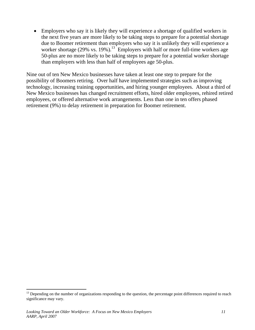• Employers who say it is likely they will experience a shortage of qualified workers in the next five years are more likely to be taking steps to prepare for a potential shortage due to Boomer retirement than employers who say it is unlikely they will experience a worker shortage (29% vs. 19%).<sup>13</sup> Employers with half or more full-time workers age 50-plus are no more likely to be taking steps to prepare for a potential worker shortage than employers with less than half of employees age 50-plus.

Nine out of ten New Mexico businesses have taken at least one step to prepare for the possibility of Boomers retiring. Over half have implemented strategies such as improving technology, increasing training opportunities, and hiring younger employees. About a third of New Mexico businesses has changed recruitment efforts, hired older employees, rehired retired employees, or offered alternative work arrangements. Less than one in ten offers phased retirement (9%) to delay retirement in preparation for Boomer retirement.

1

<sup>&</sup>lt;sup>13</sup> Depending on the number of organizations responding to the question, the percentage point differences required to reach significance may vary.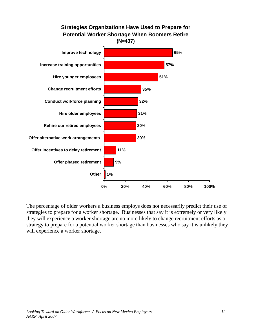

The percentage of older workers a business employs does not necessarily predict their use of strategies to prepare for a worker shortage. Businesses that say it is extremely or very likely they will experience a worker shortage are no more likely to change recruitment efforts as a strategy to prepare for a potential worker shortage than businesses who say it is unlikely they will experience a worker shortage.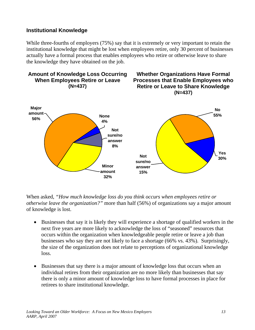### **Institutional Knowledge**

While three-fourths of employers (75%) say that it is extremely or very important to retain the institutional knowledge that might be lost when employees retire, only 30 percent of businesses actually have a formal process that enables employees who retire or otherwise leave to share the knowledge they have obtained on the job.



When asked, *"How much knowledge loss do you think occurs when employees retire or otherwise leave the organization?"* more than half (56%) of organizations say a major amount of knowledge is lost.

- Businesses that say it is likely they will experience a shortage of qualified workers in the next five years are more likely to acknowledge the loss of "seasoned" resources that occurs within the organization when knowledgeable people retire or leave a job than businesses who say they are not likely to face a shortage (66% vs. 43%). Surprisingly, the size of the organization does not relate to perceptions of organizational knowledge loss.
- Businesses that say there is a major amount of knowledge loss that occurs when an individual retires from their organization are no more likely than businesses that say there is only a minor amount of knowledge loss to have formal processes in place for retirees to share institutional knowledge.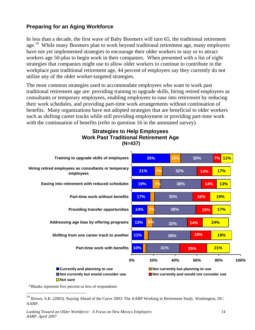### **Preparing for an Aging Workforce**

In less than a decade, the first wave of Baby Boomers will turn 65, the traditional retirement age.<sup>14</sup> While many Boomers plan to work beyond traditional retirement age, many employers have not yet implemented strategies to encourage their older workers to stay or to attract workers age 50-plus to begin work in their companies. When presented with a list of eight strategies that companies might use to allow older workers to continue to contribute in the workplace past traditional retirement age, 44 percent of employers say they currently do not utilize any of the older worker-targeted strategies.

The most common strategies used to accommodate employees who want to work past traditional retirement age are: providing training to upgrade skills, hiring retired employees as consultants or temporary employees, enabling employees to ease into retirement by reducing their work schedules, and providing part-time work arrangements without continuation of benefits. Many organizations have not adopted strategies that are beneficial to older workers such as shifting career tracks while still providing employment or providing part-time work with the continuation of benefits (refer to question 16 in the annotated survey).

#### **10% 11% 13% 14% 17% 19% 21% 35% 10% 38% 32% 30% 21% 19% 24% 17% 19% 13% 17% 11% 7% 7% 7% 6% 38% 35% 31% 39% 32% 14% 14% 25% 19% 14% 15% 16% 7% 0% 20% 40% 60% 80% 100% Part-time work with benefits Shifting from one career track to another Addressing age bias by offering programs Providing transfer opportunities Part-time work without benefits Easing into retirement with reduced schedules Hiring retired employees as consultants or temporary employees Training to upgrade skills of employees Currently and planning to use TNot currently but planning to use Not currently but would consider use Not currently and would not consider use** ■Not sure

**Strategies to Help Employees Work Past Traditional Retirement Age (N=437)** 

\*Blanks represent five percent or less of respondents

1

<sup>&</sup>lt;sup>14</sup> Brown, S.K. (2003). Staying Ahead of the Curve 2003: The AARP Working in Retirement Study. Washington, DC: AARP.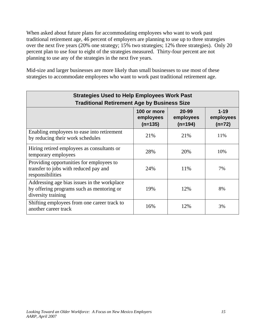When asked about future plans for accommodating employees who want to work past traditional retirement age, 46 percent of employers are planning to use up to three strategies over the next five years (20% one strategy; 15% two strategies; 12% three strategies). Only 20 percent plan to use four to eight of the strategies measured. Thirty-four percent are not planning to use any of the strategies in the next five years.

Mid-size and larger businesses are more likely than small businesses to use most of these strategies to accommodate employees who want to work past traditional retirement age.

| <b>Strategies Used to Help Employees Work Past</b><br><b>Traditional Retirement Age by Business Size</b>       |     |     |     |  |  |  |
|----------------------------------------------------------------------------------------------------------------|-----|-----|-----|--|--|--|
| $1 - 19$<br>20-99<br>100 or more<br>employees<br>employees<br>employees<br>$(n=194)$<br>$(n=135)$<br>$(n=72)$  |     |     |     |  |  |  |
| Enabling employees to ease into retirement<br>by reducing their work schedules                                 | 21% | 21% | 11% |  |  |  |
| Hiring retired employees as consultants or<br>temporary employees                                              | 28% | 20% | 10% |  |  |  |
| Providing opportunities for employees to<br>transfer to jobs with reduced pay and<br>responsibilities          | 24% | 11% | 7%  |  |  |  |
| Addressing age bias issues in the workplace<br>by offering programs such as mentoring or<br>diversity training | 19% | 12% | 8%  |  |  |  |
| Shifting employees from one career track to<br>another career track                                            | 16% | 12% | 3%  |  |  |  |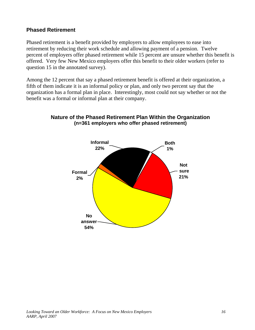### **Phased Retirement**

Phased retirement is a benefit provided by employers to allow employees to ease into retirement by reducing their work schedule and allowing payment of a pension. Twelve percent of employers offer phased retirement while 15 percent are unsure whether this benefit is offered. Very few New Mexico employers offer this benefit to their older workers (refer to question 15 in the annotated survey).

Among the 12 percent that say a phased retirement benefit is offered at their organization, a fifth of them indicate it is an informal policy or plan, and only two percent say that the organization has a formal plan in place. Interestingly, most could not say whether or not the benefit was a formal or informal plan at their company.



### **Nature of the Phased Retirement Plan Within the Organization (n=361 employers who offer phased retirement)**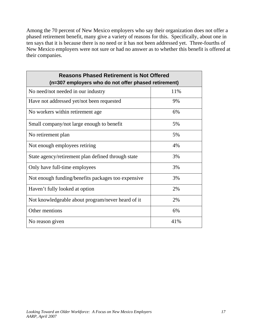Among the 70 percent of New Mexico employers who say their organization does not offer a phased retirement benefit, many give a variety of reasons for this. Specifically, about one in ten says that it is because there is no need or it has not been addressed yet. Three-fourths of New Mexico employers were not sure or had no answer as to whether this benefit is offered at their companies.

| <b>Reasons Phased Retirement is Not Offered</b><br>(n=307 employers who do not offer phased retirement) |     |  |  |  |  |
|---------------------------------------------------------------------------------------------------------|-----|--|--|--|--|
| No need/not needed in our industry                                                                      | 11% |  |  |  |  |
| Have not addressed yet/not been requested                                                               | 9%  |  |  |  |  |
| No workers within retirement age                                                                        | 6%  |  |  |  |  |
| Small company/not large enough to benefit                                                               | 5%  |  |  |  |  |
| No retirement plan                                                                                      | 5%  |  |  |  |  |
| Not enough employees retiring                                                                           | 4%  |  |  |  |  |
| State agency/retirement plan defined through state                                                      | 3%  |  |  |  |  |
| Only have full-time employees                                                                           | 3%  |  |  |  |  |
| Not enough funding/benefits packages too expensive                                                      | 3%  |  |  |  |  |
| Haven't fully looked at option                                                                          | 2%  |  |  |  |  |
| Not knowledgeable about program/never heard of it                                                       | 2%  |  |  |  |  |
| Other mentions                                                                                          | 6%  |  |  |  |  |
| No reason given                                                                                         | 41% |  |  |  |  |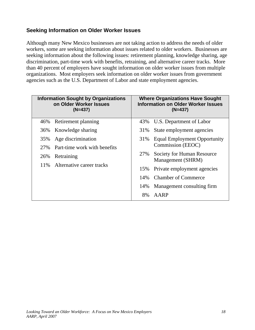### **Seeking Information on Older Worker Issues**

Although many New Mexico businesses are not taking action to address the needs of older workers, some are seeking information about issues related to older workers. Businesses are seeking information about the following issues: retirement planning, knowledge sharing, age discrimination, part-time work with benefits, retraining, and alternative career tracks. More than 40 percent of employers have sought information on older worker issues from multiple organizations. Most employers seek information on older worker issues from government agencies such as the U.S. Department of Labor and state employment agencies.

|     | <b>Information Sought by Organizations</b><br>on Older Worker Issues<br>$(N=437)$ |     | <b>Where Organizations Have Sought</b><br><b>Information on Older Worker Issues</b><br>$(N=437)$ |
|-----|-----------------------------------------------------------------------------------|-----|--------------------------------------------------------------------------------------------------|
| 46% | Retirement planning                                                               | 43% | U.S. Department of Labor                                                                         |
|     | 36% Knowledge sharing                                                             | 31% | State employment agencies                                                                        |
| 35% | Age discrimination                                                                | 31% | <b>Equal Employment Opportunity</b>                                                              |
| 27% | Part-time work with benefits                                                      |     | Commission (EEOC)                                                                                |
| 26% | Retraining                                                                        | 27% | Society for Human Resource<br>Management (SHRM)                                                  |
|     | 11% Alternative career tracks                                                     | 15% | Private employment agencies                                                                      |
|     |                                                                                   |     |                                                                                                  |
|     |                                                                                   | 14% | <b>Chamber of Commerce</b>                                                                       |
|     |                                                                                   | 14% | Management consulting firm                                                                       |
|     |                                                                                   | 8%  | AARP                                                                                             |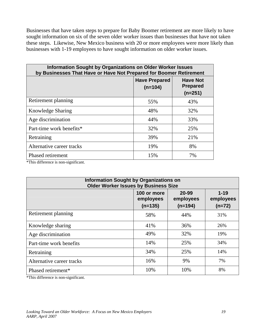Businesses that have taken steps to prepare for Baby Boomer retirement are more likely to have sought information on six of the seven older worker issues than businesses that have not taken these steps. Likewise, New Mexico business with 20 or more employees were more likely than businesses with 1-19 employees to have sought information on older worker issues.

| <b>Information Sought by Organizations on Older Worker Issues</b><br>by Businesses That Have or Have Not Prepared for Boomer Retirement |                                   |                                                 |  |  |  |
|-----------------------------------------------------------------------------------------------------------------------------------------|-----------------------------------|-------------------------------------------------|--|--|--|
|                                                                                                                                         | <b>Have Prepared</b><br>$(n=104)$ | <b>Have Not</b><br><b>Prepared</b><br>$(n=251)$ |  |  |  |
| Retirement planning                                                                                                                     | 55%                               | 43%                                             |  |  |  |
| <b>Knowledge Sharing</b>                                                                                                                | 48%                               | 32%                                             |  |  |  |
| Age discrimination                                                                                                                      | 44%                               | 33%                                             |  |  |  |
| Part-time work benefits*                                                                                                                | 32%                               | 25%                                             |  |  |  |
| Retraining                                                                                                                              | 39%                               | 21%                                             |  |  |  |
| Alternative career tracks                                                                                                               | 19%                               | 8%                                              |  |  |  |
| Phased retirement                                                                                                                       | 15%                               | 7%                                              |  |  |  |

\*This difference is non-significant.

| <b>Information Sought by Organizations on</b><br><b>Older Worker Issues by Business Size</b> |                                       |                                 |                                   |  |  |
|----------------------------------------------------------------------------------------------|---------------------------------------|---------------------------------|-----------------------------------|--|--|
|                                                                                              | 100 or more<br>employees<br>$(n=135)$ | 20-99<br>employees<br>$(n=194)$ | $1 - 19$<br>employees<br>$(n=72)$ |  |  |
| Retirement planning                                                                          | 58%                                   | 44%                             | 31%                               |  |  |
| Knowledge sharing                                                                            | 41%                                   | 36%                             | 26%                               |  |  |
| Age discrimination                                                                           | 49%                                   | 32%                             | 19%                               |  |  |
| Part-time work benefits                                                                      | 14%                                   | 25%                             | 34%                               |  |  |
| Retraining                                                                                   | 34%                                   | 25%                             | 14%                               |  |  |
| Alternative career tracks                                                                    | 16%                                   | 9%                              | 7%                                |  |  |
| Phased retirement*                                                                           | 10%                                   | 10%                             | 8%                                |  |  |

\*This difference is non-significant.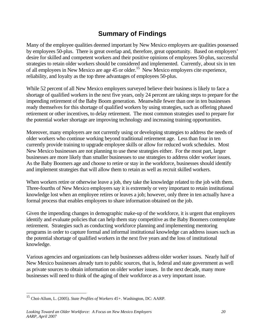### **Summary of Findings**

Many of the employee qualities deemed important by New Mexico employers are qualities possessed by employees 50-plus. There is great overlap and, therefore, great opportunity. Based on employers' desire for skilled and competent workers and their positive opinions of employees 50-plus, successful strategies to retain older workers should be considered and implemented. Currently, about six in ten of all employees in New Mexico are age 45 or older.<sup>15</sup> New Mexico employers cite experience, reliability, and loyalty as the top three advantages of employees 50-plus.

While 52 percent of all New Mexico employers surveyed believe their business is likely to face a shortage of qualified workers in the next five years, only 24 percent are taking steps to prepare for the impending retirement of the Baby Boom generation. Meanwhile fewer than one in ten businesses ready themselves for this shortage of qualified workers by using strategies, such as offering phased retirement or other incentives, to delay retirement. The most common strategies used to prepare for the potential worker shortage are improving technology and increasing training opportunities.

Moreover, many employers are not currently using or developing strategies to address the needs of older workers who continue working beyond traditional retirement age. Less than four in ten currently provide training to upgrade employee skills or allow for reduced work schedules. Most New Mexico businesses are not planning to use these strategies either. For the most part, larger businesses are more likely than smaller businesses to use strategies to address older worker issues. As the Baby Boomers age and choose to retire or stay in the workforce, businesses should identify and implement strategies that will allow them to retain as well as recruit skilled workers.

When workers retire or otherwise leave a job, they take the knowledge related to the job with them. Three-fourths of New Mexico employers say it is extremely or very important to retain institutional knowledge lost when an employee retires or leaves a job; however, only three in ten actually have a formal process that enables employees to share information obtained on the job.

Given the impending changes in demographic make-up of the workforce, it is urgent that employers identify and evaluate policies that can help them stay competitive as the Baby Boomers contemplate retirement. Strategies such as conducting workforce planning and implementing mentoring programs in order to capture formal and informal institutional knowledge can address issues such as the potential shortage of qualified workers in the next five years and the loss of institutional knowledge.

Various agencies and organizations can help businesses address older worker issues. Nearly half of New Mexico businesses already turn to public sources, that is, federal and state government as well as private sources to obtain information on older worker issues. In the next decade, many more businesses will need to think of the aging of their workforce as a very important issue.

1

<sup>15</sup> Choi-Allum, L. (2005). *State Profiles of Workers 45+*. Washington, DC: AARP.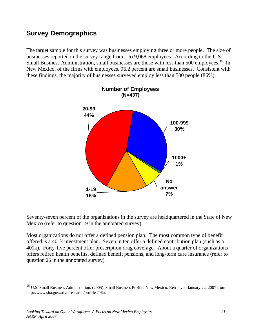### **Survey Demographics**

The target sample for this survey was businesses employing three or more people. The size of businesses reported in the survey range from 1 to 9,068 employees. According to the U.S. Small Business Administration, small businesses are those with less than 500 employees.<sup>16</sup> In New Mexico, of the firms with employees, 96.2 percent are small businesses. Consistent with these findings, the majority of businesses surveyed employ less than 500 people (86%).



Seventy-seven percent of the organizations in the survey are headquartered in the State of New Mexico (refer to question 19 in the annotated survey).

Most organizations do not offer a defined pension plan. The most common type of benefit offered is a 401k investment plan. Seven in ten offer a defined contribution plan (such as a 401k). Forty-five percent offer prescription drug coverage. About a quarter of organizations offers retired health benefits, defined benefit pensions, and long-term care insurance (refer to question 26 in the annotated survey).

1

<sup>&</sup>lt;sup>16</sup> U.S. Small Business Adminstration. (2005). Small Business Profile: New Mexico. Retrieived January 22, 2007 from http://www.sba.gov/advo/research/profiles/06n.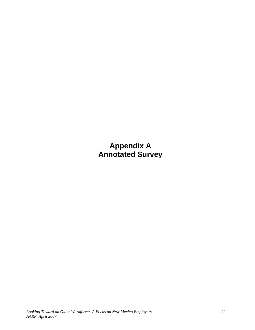**Appendix A Annotated Survey**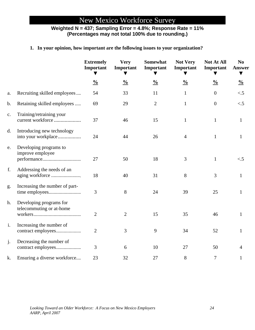## New Mexico Workforce Survey

### **Weighted N = 437; Sampling Error = 4.8%; Response Rate = 11% (Percentages may not total 100% due to rounding.)**

### **1. In your opinion, how important are the following issues to your organization?**

|               |                                                     | <b>Extremely</b><br>Important | <b>Very</b><br>Important | Somewhat<br>Important | <b>Not Very</b><br>Important | Not At All<br>Important | N <sub>0</sub><br><b>Answer</b><br>▼ |
|---------------|-----------------------------------------------------|-------------------------------|--------------------------|-----------------------|------------------------------|-------------------------|--------------------------------------|
|               |                                                     | $\frac{0}{0}$                 | $\frac{0}{0}$            | $\frac{0}{0}$         | $\frac{0}{0}$                | $\frac{0}{0}$           | $\frac{0}{0}$                        |
| a.            | Recruiting skilled employees                        | 54                            | 33                       | 11                    | $\mathbf{1}$                 | $\overline{0}$          | $\lt$ .5                             |
| b.            | Retaining skilled employees                         | 69                            | 29                       | $\overline{2}$        | $\mathbf{1}$                 | $\overline{0}$          | $\lt$ .5                             |
| $C_{\bullet}$ | Training/retraining your<br>current workforce       | 37                            | 46                       | 15                    | $\mathbf{1}$                 | $\mathbf{1}$            | $\mathbf{1}$                         |
| d.            | Introducing new technology<br>into your workplace   | 24                            | 44                       | 26                    | $\overline{4}$               | $\mathbf{1}$            | $\mathbf{1}$                         |
| e.            | Developing programs to<br>improve employee          | 27                            | 50                       | 18                    | 3                            | $\mathbf{1}$            | $\lt$ .5                             |
| f.            | Addressing the needs of an                          | 18                            | 40                       | 31                    | 8                            | 3                       | $\mathbf{1}$                         |
| g.            | Increasing the number of part-                      | $\overline{3}$                | 8                        | 24                    | 39                           | 25                      | 1                                    |
| h.            | Developing programs for<br>telecommuting or at-home | $\overline{2}$                | $\overline{2}$           | 15                    | 35                           | 46                      | $\mathbf{1}$                         |
| i.            | Increasing the number of                            | $\overline{2}$                | 3                        | 9                     | 34                           | 52                      | $\mathbf{1}$                         |
| j.            | Decreasing the number of                            | 3                             | 6                        | 10                    | 27                           | 50                      | 4                                    |
| k.            | Ensuring a diverse workforce                        | 23                            | 32                       | 27                    | 8                            | $\tau$                  | $\mathbf{1}$                         |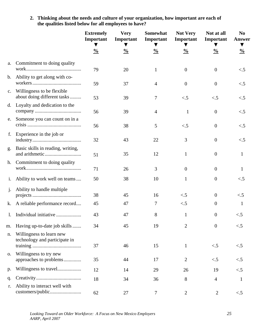**2. Thinking about the needs and culture of your organization, how important are each of the qualities listed below for all employees to have?** 

|                |                                                           | <b>Extremely</b><br>Important | <b>Very</b><br>Important | Somewhat<br>Important | <b>Not Very</b><br>Important | Not at all<br>Important | N <sub>0</sub><br><b>Answer</b>       |
|----------------|-----------------------------------------------------------|-------------------------------|--------------------------|-----------------------|------------------------------|-------------------------|---------------------------------------|
|                |                                                           | $\frac{0}{0}$                 | $\frac{0}{0}$            | $\frac{0}{0}$         | $\frac{0}{0}$                | $\frac{0}{0}$           | $\blacktriangledown$<br>$\frac{0}{0}$ |
| a.             | Commitment to doing quality                               | 79                            | 20                       | $\mathbf{1}$          | $\mathbf{0}$                 | $\mathbf{0}$            | $\lt$ .5                              |
| b.             | Ability to get along with co-                             | 59                            | 37                       | $\overline{4}$        | $\overline{0}$               | $\overline{0}$          | $\lt$ .5                              |
| c.             | Willingness to be flexible<br>about doing different tasks | 53                            | 39                       | 7                     | $\lt$ .5                     | $\lt$ .5                | $\lt$ .5                              |
| d.             | Loyalty and dedication to the                             | 56                            | 39                       | $\overline{4}$        | 1                            | $\mathbf{0}$            | $\lt$ .5                              |
| e.             | Someone you can count on in a                             | 56                            | 38                       | 5                     | $\lt$ .5                     | $\overline{0}$          | $\lt$ .5                              |
| f.             | Experience in the job or                                  | 32                            | 43                       | 22                    | 3                            | $\overline{0}$          | $\lt$ .5                              |
| g.             | Basic skills in reading, writing,                         | 51                            | 35                       | 12                    | 1                            | $\mathbf{0}$            |                                       |
| h.             | Commitment to doing quality                               | 71                            | 26                       | 3                     | $\mathbf{0}$                 | $\overline{0}$          |                                       |
| i.             | Ability to work well on teams                             | 50                            | 38                       | 10                    | 1                            | $\mathbf{0}$            | $\lt$ .5                              |
| $j$ .          | Ability to handle multiple                                | 38                            | 45                       | 16                    | $\lt$ .5                     | $\mathbf{0}$            | $\lt$ .5                              |
| k.             | A reliable performance record                             | 45                            | 47                       | 7                     | $\leq$ .5                    | $\mathbf{0}$            |                                       |
| $\mathbf{l}$ . | Individual initiative                                     | 43                            | 47                       | 8                     | $\mathbf{1}$                 | $\overline{0}$          | $\lt$ .5                              |
| m.             | Having up-to-date job skills                              | 34                            | 45                       | 19                    | 2                            | $\theta$                | $\leq$ .5                             |
| n.             | Willingness to learn new<br>technology and participate in | 37                            | 46                       | 15                    | 1                            | $\lt$ .5                | $\leq$ .5                             |
| 0.             | Willingness to try new<br>approaches to problems          | 35                            | 44                       | 17                    | $\overline{2}$               | $\leq$ .5               | $\lt$ .5                              |
| p.             |                                                           | 12                            | 14                       | 29                    | 26                           | 19                      | $\lt$ .5                              |
| q.             |                                                           | 18                            | 34                       | 36                    | 8                            | $\overline{4}$          | 1                                     |
| r.             | Ability to interact well with                             | 62                            | 27                       | $\tau$                | $\overline{2}$               | $\overline{2}$          | $\lt$ .5                              |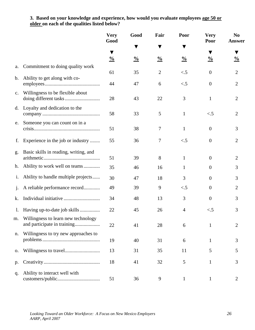#### **3. Based on your knowledge and experience, how would you evaluate employees age 50 or older on each of the qualities listed below?**

|                |                                                                       | <b>Very</b><br>Good | Good          | Fair           | Poor           | <b>Very</b><br>Poor | N <sub>0</sub><br><b>Answer</b> |
|----------------|-----------------------------------------------------------------------|---------------------|---------------|----------------|----------------|---------------------|---------------------------------|
|                |                                                                       | ▼                   | ▼             |                |                | ▼                   | ▼                               |
|                |                                                                       | $\frac{0}{0}$       | $\frac{0}{0}$ | $\frac{0}{0}$  | $\frac{0}{0}$  | $\frac{0}{0}$       | $\frac{0}{0}$                   |
| a.             | Commitment to doing quality work                                      | 61                  | 35            | $\overline{2}$ | $\lt$ .5       | $\boldsymbol{0}$    | 2                               |
| $\mathbf{b}$ . | Ability to get along with co-                                         | 44                  | 47            | 6              | $\lt$ .5       | $\boldsymbol{0}$    | $\overline{2}$                  |
| c.             | Willingness to be flexible about                                      | 28                  | 43            | 22             | 3              | $\mathbf{1}$        | $\overline{2}$                  |
| d.             | Loyalty and dedication to the                                         | 58                  | 33            | 5              | $\mathbf{1}$   | $\lt$ .5            | $\overline{2}$                  |
| e.             | Someone you can count on in a                                         | 51                  | 38            | 7              | $\mathbf{1}$   | $\boldsymbol{0}$    | 3                               |
| f.             | Experience in the job or industry                                     | 55                  | 36            | 7              | $\lt$ .5       | $\boldsymbol{0}$    | 2                               |
| g.             | Basic skills in reading, writing, and                                 | 51                  | 39            | 8              | $\mathbf{1}$   | $\boldsymbol{0}$    | 2                               |
| h.             | Ability to work well on teams                                         | 35                  | 46            | 16             | $\mathbf{1}$   | $\overline{0}$      | 3                               |
| 1.             | Ability to handle multiple projects                                   | 30                  | 47            | 18             | 3              | $\overline{0}$      | 3                               |
| $\mathbf{J}$ . | A reliable performance record                                         | 49                  | 39            | 9              | $\lt$ .5       | $\overline{0}$      | 2                               |
| k.             |                                                                       | 34                  | 48            | 13             | 3              | $\overline{0}$      | 3                               |
| $\mathbf{l}$ . |                                                                       | 22                  | 45            | 26             | $\overline{4}$ | $\lt$ .5            | 3                               |
|                | m. Willingness to learn new technology<br>and participate in training | 22                  | 41            | 28             | 6              | $\mathbf{1}$        | 2                               |
| n.             | Willingness to try new approaches to                                  | 19                  | 40            | 31             | 6              | $\mathbf{1}$        | 3                               |
| 0.             |                                                                       | 13                  | 31            | 35             | 11             | 5                   | 5                               |
| p.             |                                                                       | 18                  | 41            | 32             | 5              | $\mathbf{1}$        | 3                               |
| q.             | Ability to interact well with                                         | 51                  | 36            | 9              | $\mathbf{1}$   | $\mathbf{1}$        | $\overline{2}$                  |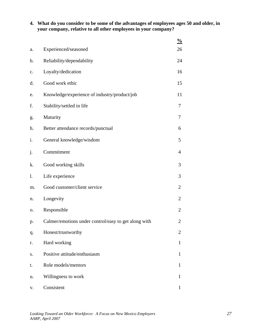**4. What do you consider to be some of the advantages of employees ages 50 and older, in your company, relative to all other employees in your company?** 

|                |                                                      | $\frac{0}{0}$  |
|----------------|------------------------------------------------------|----------------|
| a.             | Experienced/seasoned                                 | 26             |
| b.             | Reliability/dependability                            | 24             |
| c.             | Loyalty/dedication                                   | 16             |
| d.             | Good work ethic                                      | 15             |
| e.             | Knowledge/experience of industry/product/job         | 11             |
| f.             | Stability/settled in life                            | 7              |
| g.             | Maturity                                             | 7              |
| h.             | Better attendance records/punctual                   | 6              |
| i.             | General knowledge/wisdom                             | 5              |
| j.             | Commitment                                           | 4              |
| k.             | Good working skills                                  | 3              |
| $\mathbf{l}$ . | Life experience                                      | 3              |
| m.             | Good customer/client service                         | $\overline{2}$ |
| n.             | Longevity                                            | 2              |
| Ο.             | Responsible                                          | 2              |
| p.             | Calmer/emotions under control/easy to get along with | 2              |
| q.             | Honest/trustworthy                                   | 2              |
| r.             | Hard working                                         | 1              |
| S.             | Positive attitude/enthusiasm                         | 1              |
| t.             | Role models/mentors                                  | 1              |
| u.             | Willingness to work                                  | 1              |
| V.             | Consistent                                           | 1              |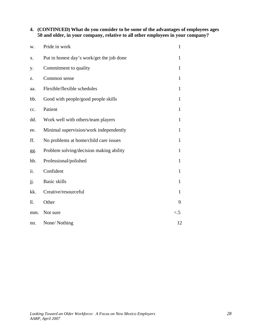### **4. (CONTINUED) What do you consider to be some of the advantages of employees ages 50 and older, in your company, relative to all other employees in your company?**

| w.  | Pride in work                             | $\mathbf{1}$ |
|-----|-------------------------------------------|--------------|
| X.  | Put in honest day's work/get the job done | 1            |
| у.  | Commitment to quality                     | $\mathbf{1}$ |
| z.  | Common sense                              | $\mathbf{1}$ |
| aa. | Flexible/flexible schedules               | $\mathbf{1}$ |
| bb. | Good with people/good people skills       | $\mathbf{1}$ |
| cc. | Patient                                   | $\mathbf{1}$ |
| dd. | Work well with others/team players        | $\mathbf{1}$ |
| ee. | Minimal supervision/work independently    | 1            |
| ff. | No problems at home/child care issues     | 1            |
| gg. | Problem solving/decision making ability   | $\mathbf{1}$ |
| hh. | Professional/polished                     | $\mathbf{1}$ |
| ii. | Confident                                 | $\mathbf{1}$ |
| jj. | <b>Basic skills</b>                       | $\mathbf{1}$ |
| kk. | Creative/resourceful                      | $\mathbf{1}$ |
| ll. | Other                                     | 9            |
| mm. | Not sure                                  | $\lt.5$      |
| nn. | None/Nothing                              | 12           |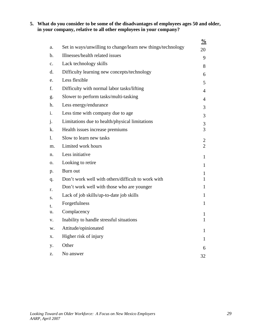### **5. What do you consider to be some of the disadvantages of employees ages 50 and older, in your company, relative to all other employees in your company?**

|                |                                                             | $\frac{0}{0}$  |
|----------------|-------------------------------------------------------------|----------------|
| a.             | Set in ways/unwilling to change/learn new things/technology | 20             |
| b.             | Illnesses/health related issues                             | 9              |
| $\mathbf{c}$ . | Lack technology skills                                      | 8              |
| d.             | Difficulty learning new concepts/technology                 | 6              |
| e.             | Less flexible                                               | 5              |
| f.             | Difficulty with normal labor tasks/lifting                  | 4              |
| g.             | Slower to perform tasks/multi-tasking                       | 4              |
| h.             | Less energy/endurance                                       | 3              |
| i.             | Less time with company due to age                           | 3              |
| j.             | Limitations due to health/physical limitations              | 3              |
| k.             | Health issues increase premiums                             | 3              |
| 1.             | Slow to learn new tasks                                     | $\overline{2}$ |
| m.             | Limited work hours                                          | $\overline{2}$ |
| n.             | Less initiative                                             | 1              |
| 0.             | Looking to retire                                           | 1              |
| p.             | Burn out                                                    | 1              |
| q.             | Don't work well with others/difficult to work with          | $\mathbf{1}$   |
| r.             | Don't work well with those who are younger                  | 1              |
| S.             | Lack of job skills/up-to-date job skills                    | 1              |
| t.             | Forgetfulness                                               | 1              |
| u.             | Complacency                                                 | 1              |
| V.             | Inability to handle stressful situations                    | 1              |
| w.             | Attitude/opinionated                                        | $\mathbf{1}$   |
| Х.             | Higher risk of injury                                       | 1              |
| y.             | Other                                                       |                |
| Z.             | No answer                                                   | 6              |
|                |                                                             | 32             |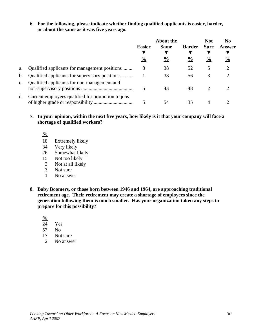**6. For the following, please indicate whether finding qualified applicants is easier, harder, or about the same as it was five years ago.** 

|                |                                                   | <b>Easier</b>  | <b>About the</b><br><b>Same</b> | <b>Harder</b> | <b>Not</b><br><b>Sure</b> | No<br>Answer                |
|----------------|---------------------------------------------------|----------------|---------------------------------|---------------|---------------------------|-----------------------------|
|                |                                                   | $\frac{6}{10}$ | $\frac{6}{10}$                  | $\frac{6}{6}$ | $\frac{6}{10}$            | $\frac{0}{0}$               |
| a.             | Qualified applicants for management positions     |                | 38                              | 52            | 5                         | $\mathcal{D}_{\mathcal{L}}$ |
| $\mathbf{b}$ . | Qualified applicants for supervisory positions    |                | 38                              | 56            | 3                         |                             |
| $\mathbf{C}$ . | Qualified applicants for non-management and       |                | 43                              | 48            |                           |                             |
| d.             | Current employees qualified for promotion to jobs |                | 54                              | 35            |                           |                             |

- **7. In your opinion, within the next five years, how likely is it that your company will face a shortage of qualified workers?** 
	- **%**
	- 18 Extremely likely
	- 34 Very likely
	- 26 Somewhat likely
	- 15 Not too likely
	- 3 Not at all likely
	- 3 Not sure
	- 1 No answer
- **8. Baby Boomers, or those born between 1946 and 1964, are approaching traditional retirement age. Their retirement may create a shortage of employees since the generation following them is much smaller. Has your organization taken any steps to prepare for this possibility?**

 $\frac{6}{24}$ 

- Yes
- 57 No
- 17 Not sure
- 2 No answer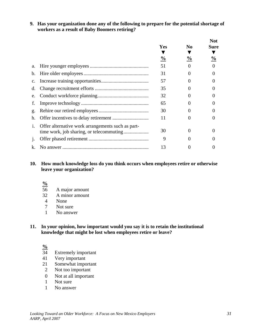**9. Has your organization done any of the following to prepare for the potential shortage of workers as a result of Baby Boomers retiring?** 

|                |                                                   |               |                | <b>Not</b> |
|----------------|---------------------------------------------------|---------------|----------------|------------|
|                |                                                   | Yes           | N <sub>0</sub> | Sure       |
|                |                                                   |               |                |            |
|                |                                                   | $\frac{0}{0}$ | $\frac{6}{9}$  | $\%$       |
| a.             |                                                   | 51            |                |            |
| $\mathbf b$ .  |                                                   | 31            | $\Omega$       |            |
| $\mathbf{c}$ . |                                                   | 57            |                |            |
| d.             |                                                   | 35            | $\Omega$       |            |
| e.             |                                                   | 32            |                |            |
| f.             |                                                   | 65            |                |            |
| g.             |                                                   | 30            |                |            |
| h.             |                                                   | 11            |                |            |
| $\mathbf{1}$ . | Offer alternative work arrangements such as part- | 30            | 0              |            |
|                |                                                   | 9             |                |            |
| k.             |                                                   | 13            |                |            |

#### **10. How much knowledge loss do you think occurs when employees retire or otherwise leave your organization?**

#### **%**

- 56 A major amount
- 32 A minor amount
- 4 None
- 7 Not sure
- 1 No answer

#### **11. In your opinion, how important would you say it is to retain the institutional knowledge that might be lost when employees retire or leave?**

## $\frac{9}{6}$ <br>34

- Extremely important
- 41 Very important
- 21 Somewhat important
- 2 Not too important
- 0 Not at all important
- 1 Not sure
- 1 No answer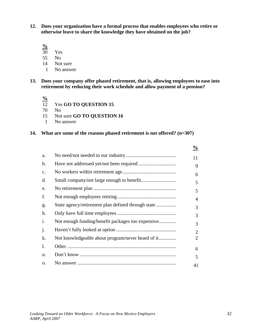**12. Does your organization have a formal process that enables employees who retire or otherwise leave to share the knowledge they have obtained on the job?** 

 $\frac{9}{6}$  30

- Yes
- 55 No
- 14 Not sure
- 1 No answer
- **13. Does your company offer phased retirement, that is, allowing employees to ease into retirement by reducing their work schedule and allow payment of a pension?**

 $\frac{9}{12}$ 

- Yes **GO TO QUESTION 15**
- 70 No
- 15 Not sure **GO TO QUESTION 16**
- 1 No answer

#### **14. What are some of the reasons phased retirement is not offered? (n=307)**

|              | $\frac{6}{9}$  |
|--------------|----------------|
| a.           | 11             |
| b.           | 9              |
| c.           | 6              |
| d.           | 5              |
| e.           | 5              |
| f.           | 4              |
| g.           | 3              |
| h.           | 3              |
| i.           | 3              |
| $\mathbf{J}$ | $\overline{2}$ |
| k.           | 2              |
| 1.           | 6              |
| n.           | 5              |
| Ο.           | 41             |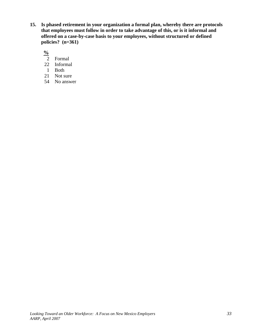**15. Is phased retirement in your organization a formal plan, whereby there are protocols that employees must follow in order to take advantage of this, or is it informal and offered on a case-by-case basis to your employees, without structured or defined policies? (n=361)** 

 $\frac{6}{2}$ 

- 2 Formal
- 22 Informal
- 1 Both
- 21 Not sure
- 54 No answer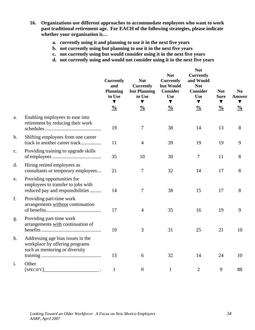- **16. Organizations use different approaches to accommodate employees who want to work past traditional retirement age. For EACH of the following strategies, please indicate whether your organization is…** 
	- **a. currently using it and planning to use it in the next five years**
	- **b. not currently using but planning to use it in the next five years**
	- **c. not currently using but would consider using it in the next five years**
	- **d. not currently using and would not consider using it in the next five years**

|               |                                                                                                       | <b>Currently</b><br>and<br><b>Planning</b><br>to Use<br>▼ | <b>Not</b><br><b>Currently</b><br>but Planning<br>to Use<br>▼ | <b>Not</b><br><b>Currently</b><br>but Would<br><b>Consider</b><br><b>Use</b><br>$\blacktriangledown$ | <b>Not</b><br><b>Currently</b><br>and Would<br><b>Not</b><br><b>Consider</b><br><b>Use</b><br>$\blacktriangledown$ | <b>Not</b><br><b>Sure</b><br>$\blacktriangledown$ | N <sub>0</sub><br><b>Answer</b><br>▼ |
|---------------|-------------------------------------------------------------------------------------------------------|-----------------------------------------------------------|---------------------------------------------------------------|------------------------------------------------------------------------------------------------------|--------------------------------------------------------------------------------------------------------------------|---------------------------------------------------|--------------------------------------|
|               |                                                                                                       | $\frac{0}{0}$                                             | $\frac{0}{0}$                                                 | $\frac{0}{0}$                                                                                        | $\frac{0}{0}$                                                                                                      | $\frac{0}{0}$                                     | $\frac{0}{0}$                        |
| a.            | Enabling employees to ease into<br>retirement by reducing their work                                  | 19                                                        | 7                                                             | 38                                                                                                   | 14                                                                                                                 | 13                                                | 8                                    |
| b.            | Shifting employees from one career<br>track to another career track                                   | 11                                                        | $\overline{4}$                                                | 39                                                                                                   | 19                                                                                                                 | 19                                                | 9                                    |
| $C_{\bullet}$ | Providing training to upgrade skills                                                                  | 35                                                        | 10                                                            | 30                                                                                                   | $\tau$                                                                                                             | 11                                                | 8                                    |
| d.            | Hiring retired employees as<br>consultants or temporary employees                                     | 21                                                        | 7                                                             | 32                                                                                                   | 14                                                                                                                 | 17                                                | 8                                    |
| e.            | Providing opportunities for<br>employees to transfer to jobs with<br>reduced pay and responsibilities | 14                                                        | 7                                                             | 38                                                                                                   | 15                                                                                                                 | 17                                                | 8                                    |
| f.            | Providing part-time work<br>arrangements without continuation                                         | 17                                                        | $\overline{4}$                                                | 35                                                                                                   | 16                                                                                                                 | 19                                                | 9                                    |
| g.            | Providing part-time work<br>arrangements with continuation of                                         | 10                                                        | 3                                                             | 31                                                                                                   | 25                                                                                                                 | 21                                                | 10                                   |
| h.            | Addressing age bias issues in the<br>workplace by offering programs<br>such as mentoring or diversity |                                                           |                                                               |                                                                                                      |                                                                                                                    |                                                   |                                      |
|               |                                                                                                       | 13                                                        | 6                                                             | 32                                                                                                   | 14                                                                                                                 | 24                                                | 10                                   |
| i.            | Other<br>[SPECIFY]                                                                                    | $\mathbf{1}$                                              | $\mathbf{0}$                                                  | $\mathbf{1}$                                                                                         | $\overline{2}$                                                                                                     | 9                                                 | 88                                   |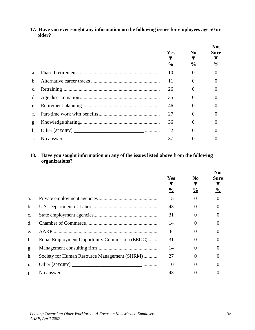**17. Have you ever sought any information on the following issues for employees age 50 or older?** 

|                |           |               |                | <b>Not</b>    |  |
|----------------|-----------|---------------|----------------|---------------|--|
|                |           | <b>Yes</b>    | N <sub>0</sub> | Sure          |  |
|                |           |               |                |               |  |
|                |           | $\frac{0}{0}$ | $\frac{0}{0}$  | $\frac{0}{0}$ |  |
| $a$ .          |           | 10            | $\Omega$       | $\Omega$      |  |
| $b$            |           | 11            | $\Omega$       |               |  |
| $C_{\bullet}$  |           | 26            | $\Omega$       |               |  |
| d.             |           | 35            | 0              |               |  |
| e.             |           | 46            | 0              |               |  |
| $f_{\perp}$    |           | 27            | 0              |               |  |
| g.             |           | 36            | $\Omega$       |               |  |
| h.             |           |               | $\theta$       |               |  |
| $\mathbf{1}$ . | No answer | 37            |                |               |  |

### **18. Have you sought information on any of the issues listed above from the following organizations?**

|                |                                                |               |                | <b>Not</b>    |  |
|----------------|------------------------------------------------|---------------|----------------|---------------|--|
|                |                                                | <b>Yes</b>    | N <sub>0</sub> | <b>Sure</b>   |  |
|                |                                                | $\frac{0}{0}$ | $\frac{0}{0}$  | $\frac{0}{0}$ |  |
|                |                                                |               |                |               |  |
| a.             |                                                | 15            | $\Omega$       | 0             |  |
| $\mathbf b$ .  |                                                | 43            | 0              | 0             |  |
| $C_{\bullet}$  |                                                | 31            | 0              | 0             |  |
| d.             |                                                | 14            | 0              | $\Omega$      |  |
| e.             |                                                | 8             | 0              |               |  |
| f.             | Equal Employment Opportunity Commission (EEOC) | 31            | $\Omega$       |               |  |
| g.             |                                                | 14            | 0              |               |  |
| h.             | Society for Human Resource Management (SHRM)   | 27            | 0              |               |  |
| $\mathbf{1}$ . |                                                | 0             |                |               |  |
| $\dot{J}$ .    | No answer                                      | 43            |                |               |  |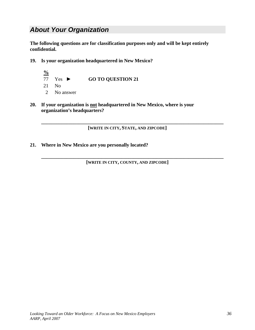### *About Your Organization*

**The following questions are for classification purposes only and will be kept entirely confidential.** 

- **19. Is your organization headquartered in New Mexico?** 
	- **%** 77 Yes ► **GO TO QUESTION 21**  21 No 2 No answer
- **20. If your organization is not headquartered in New Mexico, where is your organization's headquarters?**

**[WRITE IN CITY, STATE, AND ZIPCODE]** 

**\_\_\_\_\_\_\_\_\_\_\_\_\_\_\_\_\_\_\_\_\_\_\_\_\_\_\_\_\_\_\_\_\_\_\_\_\_\_\_\_\_\_\_\_\_\_\_\_\_\_\_\_\_\_\_\_\_\_\_\_\_\_\_\_\_\_\_\_\_\_\_\_\_** 

**21. Where in New Mexico are you personally located?** 

**[WRITE IN CITY, COUNTY, AND ZIPCODE]** 

**\_\_\_\_\_\_\_\_\_\_\_\_\_\_\_\_\_\_\_\_\_\_\_\_\_\_\_\_\_\_\_\_\_\_\_\_\_\_\_\_\_\_\_\_\_\_\_\_\_\_\_\_\_\_\_\_\_\_\_\_\_\_\_\_\_\_\_\_\_\_\_\_\_**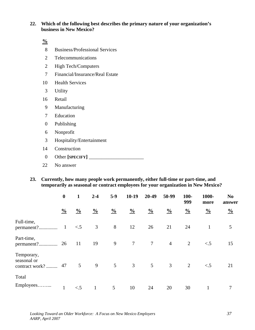#### **22. Which of the following best describes the primary nature of your organization's business in New Mexico?**

**%**

- 8 Business/Professional Services
- 2 Telecommunications
- 2 High Tech/Computers
- 7 Financial/Insurance/Real Estate
- 10 Health Services
- 3 Utility
- 16 Retail
- 9 Manufacturing
- 7 Education
- 0 Publishing
- 6 Nonprofit
- 3 Hospitality/Entertainment
- 14 Construction
- 0 Other **[SPECIFY]** \_\_\_\_\_\_\_\_\_\_\_\_\_\_\_\_\_\_\_\_\_\_
- 22 No answer
- **23. Currently, how many people work permanently, either full-time or part-time, and temporarily as seasonal or contract employees for your organization in New Mexico?**

|                                             | $\boldsymbol{0}$ | $\mathbf{1}$  | $2 - 4$       | $5-9$         | $10-19$        | 20-49          | 50-99          | $100-$<br>999 | 1000-<br>more | N <sub>0</sub><br>answer |
|---------------------------------------------|------------------|---------------|---------------|---------------|----------------|----------------|----------------|---------------|---------------|--------------------------|
|                                             | $\frac{0}{0}$    | $\frac{0}{0}$ | $\frac{0}{0}$ | $\frac{0}{0}$ | $\frac{0}{0}$  | $\frac{0}{0}$  | $\frac{0}{0}$  | $\frac{0}{0}$ | $\frac{0}{0}$ | $\frac{0}{0}$            |
| Full-time,<br>permanent?                    | $\mathbf{1}$     | $\leq$ .5     | 3             | 8             | 12             | 26             | 21             | 24            | $\mathbf{1}$  | 5                        |
| Part-time,                                  |                  | <sup>11</sup> | 19            | 9             | $\overline{7}$ | $\overline{7}$ | $\overline{4}$ | 2             | $\lt$ .5      | 15                       |
| Temporary,<br>seasonal or<br>contract work? | 47               | 5             | 9             | 5             | 3              | 5              | 3              | 2             | $\lt$ .5      | 21                       |
| Total                                       |                  |               |               |               |                |                |                |               |               |                          |
| Employees                                   | $\mathbf{1}$     | $\lt$ .5      | $\mathbf{1}$  | 5             | 10             | 24             | 20             | 30            | 1             | 7                        |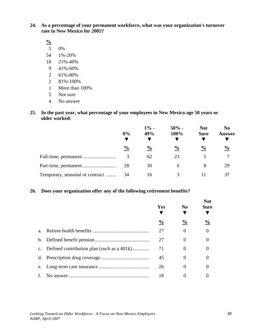**24. As a percentage of your permanent workforce, what was your organization's turnover rate in New Mexico for 2005?** 

**%**

- 5 0%
- 54 1%-20%
- 18 21%-40%
- 9 41%-60%
- 2 61%-80%
- 2 81%-100%
- 1 More than 100%
- 5 Not sure
- 4 No answer

### **25. In the past year, what percentage of your employees in New Mexico age 50 years or older worked:**

|                                 | 0%            | $1% -$<br>49% | $50\%$ -<br>100% | <b>Not</b><br><b>Sure</b> | N <sub>0</sub><br>Answer |
|---------------------------------|---------------|---------------|------------------|---------------------------|--------------------------|
|                                 | $\frac{0}{0}$ | $\frac{0}{0}$ | $\frac{0}{0}$    | $\frac{6}{9}$             | $\frac{0}{0}$            |
|                                 | 3             | 62            | 23               | 5                         |                          |
|                                 | 28            | 30            | 6                | 8                         | 29                       |
| Temporary, seasonal or contract | 34            | 16            |                  |                           |                          |

### **26. Does your organization offer any of the following retirement benefits?**

|         |                                               | Yes           | $\bf No$      | <b>Not</b><br><b>Sure</b> |
|---------|-----------------------------------------------|---------------|---------------|---------------------------|
|         |                                               | $\frac{0}{0}$ | $\frac{0}{0}$ | $\frac{6}{9}$             |
| $a_{-}$ |                                               | 27            | $\Omega$      | $\overline{0}$            |
|         |                                               | 27            | $\Omega$      | 0                         |
|         | c. Defined contribution plan (such as a 401k) | 71            | $\Omega$      | 0                         |
|         |                                               | 45            | $\Omega$      | 0                         |
| e.      |                                               | 26            | 0             | 0                         |
| f.      |                                               | 18            |               |                           |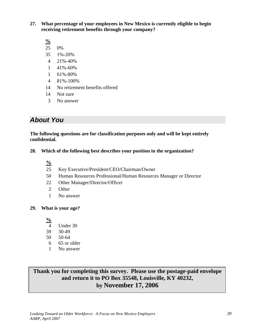**27. What percentage of your employees in New Mexico is currently eligible to begin receiving retirement benefits through your company?** 

**%**

- 25 0%
- 35 1%-20%
- 4 21%-40%
- 1 41%-60%
- 1 61%-80%
- 4 81%-100%
- 14 No retirement benefits offered
- 14 Not sure
- 3 No answer

### *About You*

**The following questions are for classification purposes only and will be kept entirely confidential.** 

- **28. Which of the following best describes your position in the organization?** 
	- **%**
	- 25 Key Executive/President/CEO/Chairman/Owner
	- 50 Human Resources Professional/Human Resources Manager or Director
	- 22 Other Manager/Director/Officer
	- 2 Other
	- 1 No answer

### **29. What is your age?**

**%**

- 4 Under 30
- 39 30-49
- 50 50-64
- 6 65 or older
- 1 No answer

### **Thank you for completing this survey. Please use the postage-paid envelope and return it to PO Box 35548, Louisville, KY 40232, by November 17, 2006**